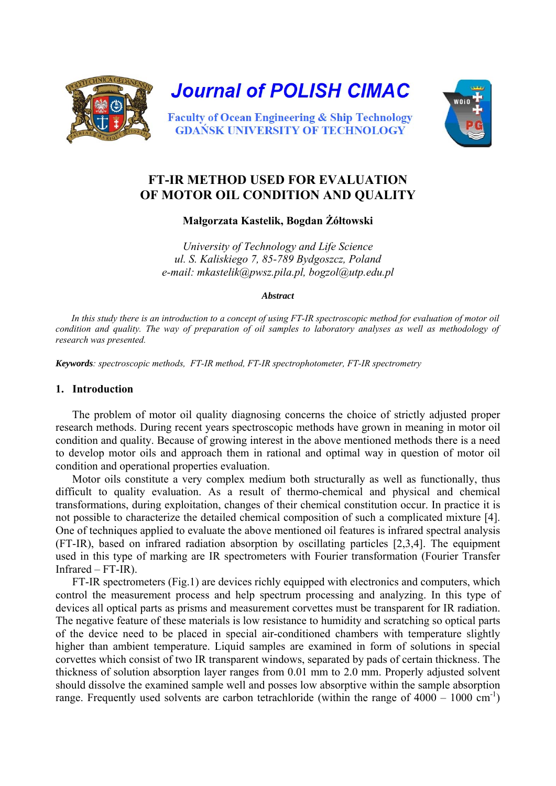



# **FT-IR METHOD USED FOR EVALUATION OF MOTOR OIL CONDITION AND QUALITY**

**Małgorzata Kastelik, Bogdan Żółtowski** 

*University of Technology and Life Science ul. S. Kaliskiego 7, 85-789 Bydgoszcz, Poland e-mail: [mkastelik@pwsz.pila.pl,](mailto:mkastelik@pwsz.pila.pl) [bogzol@utp.edu.pl](mailto:bogzol@utp.edu.pl)* 

*Abstract* 

*In this study there is an introduction to a concept of using FT-IR spectroscopic method for evaluation of motor oil*  condition and quality. The way of preparation of oil samples to laboratory analyses as well as methodology of *research was presented.* 

*Keywords: spectroscopic methods, FT-IR method, FT-IR spectrophotometer, FT-IR spectrometry* 

## **1. Introduction**

The problem of motor oil quality diagnosing concerns the choice of strictly adjusted proper research methods. During recent years spectroscopic methods have grown in meaning in motor oil condition and quality. Because of growing interest in the above mentioned methods there is a need to develop motor oils and approach them in rational and optimal way in question of motor oil condition and operational properties evaluation.

Motor oils constitute a very complex medium both structurally as well as functionally, thus difficult to quality evaluation. As a result of thermo-chemical and physical and chemical transformations, during exploitation, changes of their chemical constitution occur. In practice it is not possible to characterize the detailed chemical composition of such a complicated mixture [4]. One of techniques applied to evaluate the above mentioned oil features is infrared spectral analysis (FT-IR), based on infrared radiation absorption by oscillating particles [2,3,4]. The equipment used in this type of marking are IR spectrometers with Fourier transformation (Fourier Transfer Infrared – FT-IR).

FT-IR spectrometers (Fig.1) are devices richly equipped with electronics and computers, which control the measurement process and help spectrum processing and analyzing. In this type of devices all optical parts as prisms and measurement corvettes must be transparent for IR radiation. The negative feature of these materials is low resistance to humidity and scratching so optical parts of the device need to be placed in special air-conditioned chambers with temperature slightly higher than ambient temperature. Liquid samples are examined in form of solutions in special corvettes which consist of two IR transparent windows, separated by pads of certain thickness. The thickness of solution absorption layer ranges from 0.01 mm to 2.0 mm. Properly adjusted solvent should dissolve the examined sample well and posses low absorptive within the sample absorption range. Frequently used solvents are carbon tetrachloride (within the range of  $4000 - 1000$  cm<sup>-1</sup>)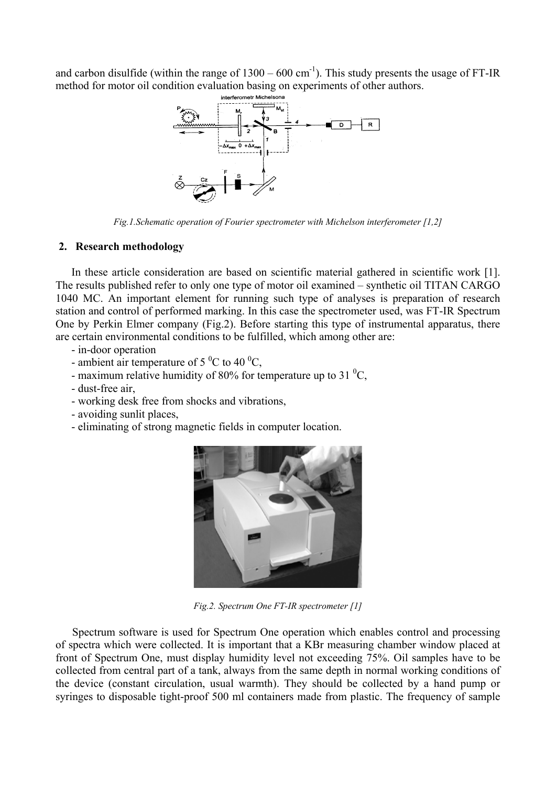and carbon disulfide (within the range of  $1300 - 600$  cm<sup>-1</sup>). This study presents the usage of FT-IR method for motor oil condition evaluation basing on experiments of other authors.



*Fig.1.Schematic operation of Fourier spectrometer with Michelson interferometer [1,2]* 

## **2. Research methodology**

In these article consideration are based on scientific material gathered in scientific work [1]. The results published refer to only one type of motor oil examined – synthetic oil TITAN CARGO 1040 MC. An important element for running such type of analyses is preparation of research station and control of performed marking. In this case the spectrometer used, was FT-IR Spectrum One by Perkin Elmer company (Fig.2). Before starting this type of instrumental apparatus, there are certain environmental conditions to be fulfilled, which among other are:

- in-door operation
- ambient air temperature of 5  $^{0}$ C to 40  $^{0}$ C,
- maximum relative humidity of 80% for temperature up to 31 $\mathrm{^{0}C}$ ,
- dust-free air,
- working desk free from shocks and vibrations,
- avoiding sunlit places,
- eliminating of strong magnetic fields in computer location.



*Fig.2. Spectrum One FT-IR spectrometer [1]* 

Spectrum software is used for Spectrum One operation which enables control and processing of spectra which were collected. It is important that a KBr measuring chamber window placed at front of Spectrum One, must display humidity level not exceeding 75%. Oil samples have to be collected from central part of a tank, always from the same depth in normal working conditions of the device (constant circulation, usual warmth). They should be collected by a hand pump or syringes to disposable tight-proof 500 ml containers made from plastic. The frequency of sample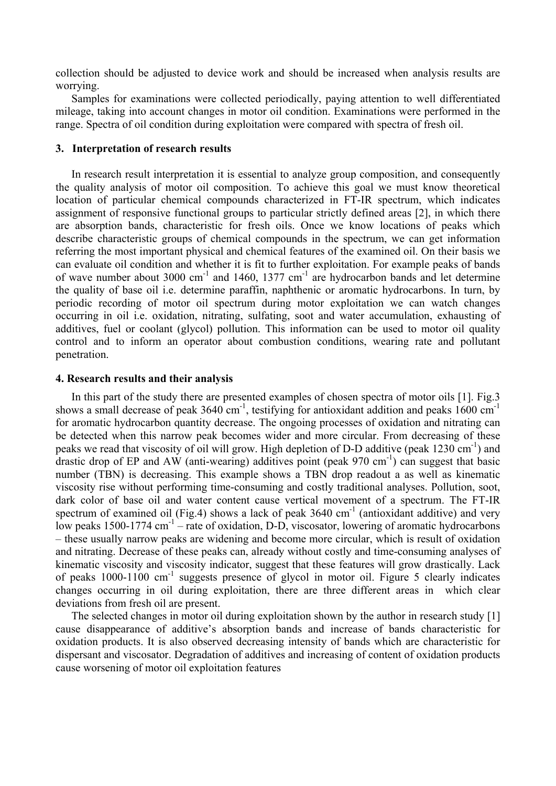collection should be adjusted to device work and should be increased when analysis results are worrying.

Samples for examinations were collected periodically, paying attention to well differentiated mileage, taking into account changes in motor oil condition. Examinations were performed in the range. Spectra of oil condition during exploitation were compared with spectra of fresh oil.

### **3. Interpretation of research results**

In research result interpretation it is essential to analyze group composition, and consequently the quality analysis of motor oil composition. To achieve this goal we must know theoretical location of particular chemical compounds characterized in FT-IR spectrum, which indicates assignment of responsive functional groups to particular strictly defined areas [2], in which there are absorption bands, characteristic for fresh oils. Once we know locations of peaks which describe characteristic groups of chemical compounds in the spectrum, we can get information referring the most important physical and chemical features of the examined oil. On their basis we can evaluate oil condition and whether it is fit to further exploitation. For example peaks of bands of wave number about 3000  $cm^{-1}$  and 1460, 1377  $cm^{-1}$  are hydrocarbon bands and let determine the quality of base oil i.e. determine paraffin, naphthenic or aromatic hydrocarbons. In turn, by periodic recording of motor oil spectrum during motor exploitation we can watch changes occurring in oil i.e. oxidation, nitrating, sulfating, soot and water accumulation, exhausting of additives, fuel or coolant (glycol) pollution. This information can be used to motor oil quality control and to inform an operator about combustion conditions, wearing rate and pollutant penetration.

#### **4. Research results and their analysis**

In this part of the study there are presented examples of chosen spectra of motor oils [1]. Fig.3 shows a small decrease of peak 3640 cm<sup>-1</sup>, testifying for antioxidant addition and peaks 1600 cm<sup>-1</sup> for aromatic hydrocarbon quantity decrease. The ongoing processes of oxidation and nitrating can be detected when this narrow peak becomes wider and more circular. From decreasing of these peaks we read that viscosity of oil will grow. High depletion of D-D additive (peak  $1230 \text{ cm}^{-1}$ ) and drastic drop of EP and AW (anti-wearing) additives point (peak  $970 \text{ cm}^{-1}$ ) can suggest that basic number (TBN) is decreasing. This example shows a TBN drop readout a as well as kinematic viscosity rise without performing time-consuming and costly traditional analyses. Pollution, soot, dark color of base oil and water content cause vertical movement of a spectrum. The FT-IR spectrum of examined oil (Fig.4) shows a lack of peak  $3640 \text{ cm}^{-1}$  (antioxidant additive) and very low peaks 1500-1774 cm<sup>-1</sup> – rate of oxidation, D-D, viscosator, lowering of aromatic hydrocarbons – these usually narrow peaks are widening and become more circular, which is result of oxidation and nitrating. Decrease of these peaks can, already without costly and time-consuming analyses of kinematic viscosity and viscosity indicator, suggest that these features will grow drastically. Lack of peaks 1000-1100 cm-1 suggests presence of glycol in motor oil. Figure 5 clearly indicates changes occurring in oil during exploitation, there are three different areas in which clear deviations from fresh oil are present.

The selected changes in motor oil during exploitation shown by the author in research study [1] cause disappearance of additive's absorption bands and increase of bands characteristic for oxidation products. It is also observed decreasing intensity of bands which are characteristic for dispersant and viscosator. Degradation of additives and increasing of content of oxidation products cause worsening of motor oil exploitation features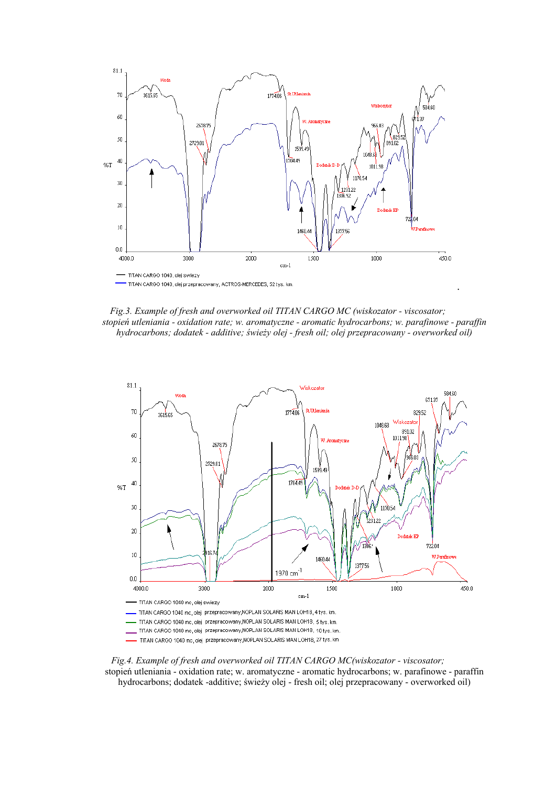

*Fig.3. Example of fresh and overworked oil TITAN CARGO MC (wiskozator - viscosator; stopień utleniania - oxidation rate; w. aromatyczne - aromatic hydrocarbons; w. parafinowe - paraffin hydrocarbons; dodatek - additive; świeży olej - fresh oil; olej przepracowany - overworked oil)* 



*Fig.4. Example of fresh and overworked oil TITAN CARGO MC(wiskozator - viscosator;*  stopień utleniania - oxidation rate; w. aromatyczne - aromatic hydrocarbons; w. parafinowe - paraffin hydrocarbons; dodatek -additive; świeży olej - fresh oil; olej przepracowany - overworked oil)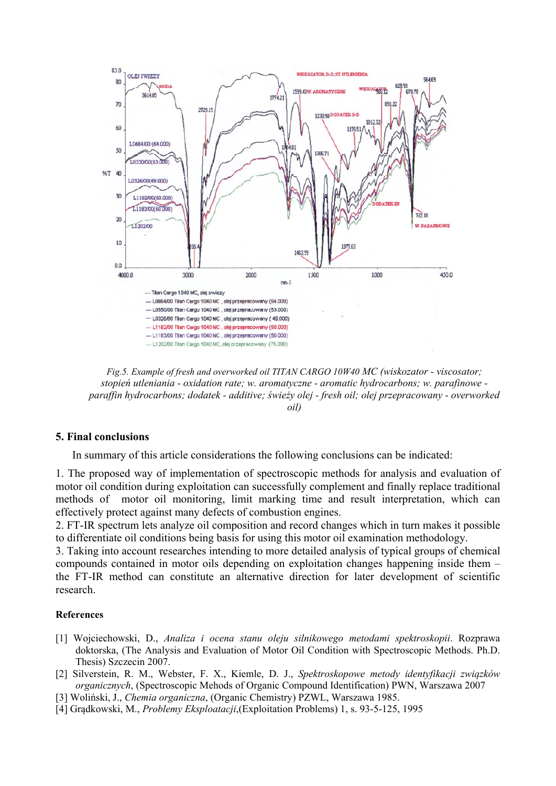

*Fig.5. Example of fresh and overworked oil TITAN CARGO 10W40 MC (wiskozator - viscosator; stopień utleniania - oxidation rate; w. aromatyczne - aromatic hydrocarbons; w. parafinowe paraffin hydrocarbons; dodatek - additive; świeży olej - fresh oil; olej przepracowany - overworked oil)* 

### **5. Final conclusions**

In summary of this article considerations the following conclusions can be indicated:

1. The proposed way of implementation of spectroscopic methods for analysis and evaluation of motor oil condition during exploitation can successfully complement and finally replace traditional methods of motor oil monitoring, limit marking time and result interpretation, which can effectively protect against many defects of combustion engines.

2. FT-IR spectrum lets analyze oil composition and record changes which in turn makes it possible to differentiate oil conditions being basis for using this motor oil examination methodology.

3. Taking into account researches intending to more detailed analysis of typical groups of chemical compounds contained in motor oils depending on exploitation changes happening inside them – the FT-IR method can constitute an alternative direction for later development of scientific research.

### **References**

- [1] Wojciechowski, D., *Analiza i ocena stanu oleju silnikowego metodami spektroskopii*. Rozprawa doktorska, (The Analysis and Evaluation of Motor Oil Condition with Spectroscopic Methods. Ph.D. Thesis) Szczecin 2007.
- [2] Silverstein, R. M., Webster, F. X., Kiemle, D. J., *Spektroskopowe metody identyfikacji związków organicznych*, (Spectroscopic Mehods of Organic Compound Identification) PWN, Warszawa 2007
- [3] Woliński, J., *Chemia organiczna*, (Organic Chemistry) PZWL, Warszawa 1985.
- [4] Grądkowski, M., *Problemy Eksploatacji*,(Exploitation Problems) 1, s. 93-5-125, 1995